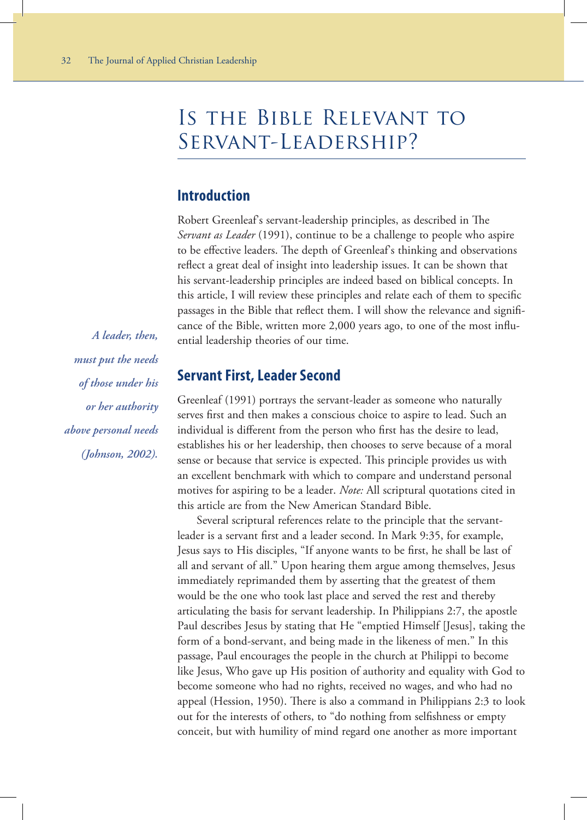# Is the Bible Relevant to Servant-Leadership?

## **Introduction**

Robert Greenleaf's servant-leadership principles, as described in The *Servant as Leader* (1991), continue to be a challenge to people who aspire to be effective leaders. The depth of Greenleaf's thinking and observations reflect a great deal of insight into leadership issues. It can be shown that his servant-leadership principles are indeed based on biblical concepts. In this article, I will review these principles and relate each of them to specific passages in the Bible that reflect them. I will show the relevance and significance of the Bible, written more 2,000 years ago, to one of the most influential leadership theories of our time.

*A leader, then, must put the needs of those under his or her authority above personal needs (Johnson, 2002).*

#### **Servant First, Leader Second**

Greenleaf (1991) portrays the servant-leader as someone who naturally serves first and then makes a conscious choice to aspire to lead. Such an individual is different from the person who first has the desire to lead, establishes his or her leadership, then chooses to serve because of a moral sense or because that service is expected. This principle provides us with an excellent benchmark with which to compare and understand personal motives for aspiring to be a leader. *Note:* All scriptural quotations cited in this article are from the New American Standard Bible.

Several scriptural references relate to the principle that the servantleader is a servant first and a leader second. In Mark 9:35, for example, Jesus says to His disciples, "If anyone wants to be first, he shall be last of all and servant of all." Upon hearing them argue among themselves, Jesus immediately reprimanded them by asserting that the greatest of them would be the one who took last place and served the rest and thereby articulating the basis for servant leadership. In Philippians 2:7, the apostle Paul describes Jesus by stating that He "emptied Himself [Jesus], taking the form of a bond-servant, and being made in the likeness of men." In this passage, Paul encourages the people in the church at Philippi to become like Jesus, Who gave up His position of authority and equality with God to become someone who had no rights, received no wages, and who had no appeal (Hession, 1950). There is also a command in Philippians 2:3 to look out for the interests of others, to "do nothing from selfishness or empty conceit, but with humility of mind regard one another as more important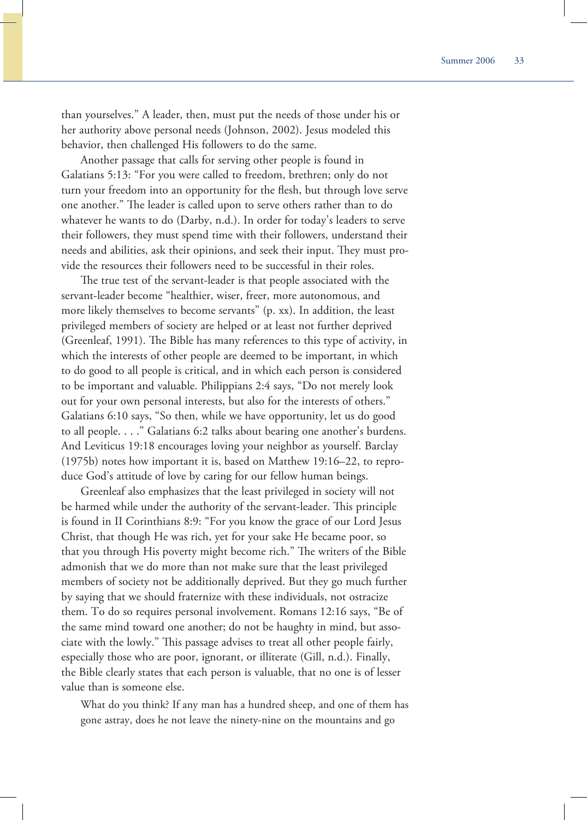than yourselves." A leader, then, must put the needs of those under his or her authority above personal needs (Johnson, 2002). Jesus modeled this behavior, then challenged His followers to do the same.

Another passage that calls for serving other people is found in Galatians 5:13: "For you were called to freedom, brethren; only do not turn your freedom into an opportunity for the flesh, but through love serve one another." The leader is called upon to serve others rather than to do whatever he wants to do (Darby, n.d.). In order for today's leaders to serve their followers, they must spend time with their followers, understand their needs and abilities, ask their opinions, and seek their input. They must provide the resources their followers need to be successful in their roles.

The true test of the servant-leader is that people associated with the servant-leader become "healthier, wiser, freer, more autonomous, and more likely themselves to become servants" (p. xx). In addition, the least privileged members of society are helped or at least not further deprived (Greenleaf, 1991). The Bible has many references to this type of activity, in which the interests of other people are deemed to be important, in which to do good to all people is critical, and in which each person is considered to be important and valuable. Philippians 2:4 says, "Do not merely look out for your own personal interests, but also for the interests of others." Galatians 6:10 says, "So then, while we have opportunity, let us do good to all people. . . ." Galatians 6:2 talks about bearing one another's burdens. And Leviticus 19:18 encourages loving your neighbor as yourself. Barclay (1975b) notes how important it is, based on Matthew 19:16–22, to reproduce God's attitude of love by caring for our fellow human beings.

Greenleaf also emphasizes that the least privileged in society will not be harmed while under the authority of the servant-leader. This principle is found in II Corinthians 8:9: "For you know the grace of our Lord Jesus Christ, that though He was rich, yet for your sake He became poor, so that you through His poverty might become rich." The writers of the Bible admonish that we do more than not make sure that the least privileged members of society not be additionally deprived. But they go much further by saying that we should fraternize with these individuals, not ostracize them. To do so requires personal involvement. Romans 12:16 says, "Be of the same mind toward one another; do not be haughty in mind, but associate with the lowly." This passage advises to treat all other people fairly, especially those who are poor, ignorant, or illiterate (Gill, n.d.). Finally, the Bible clearly states that each person is valuable, that no one is of lesser value than is someone else.

What do you think? If any man has a hundred sheep, and one of them has gone astray, does he not leave the ninety-nine on the mountains and go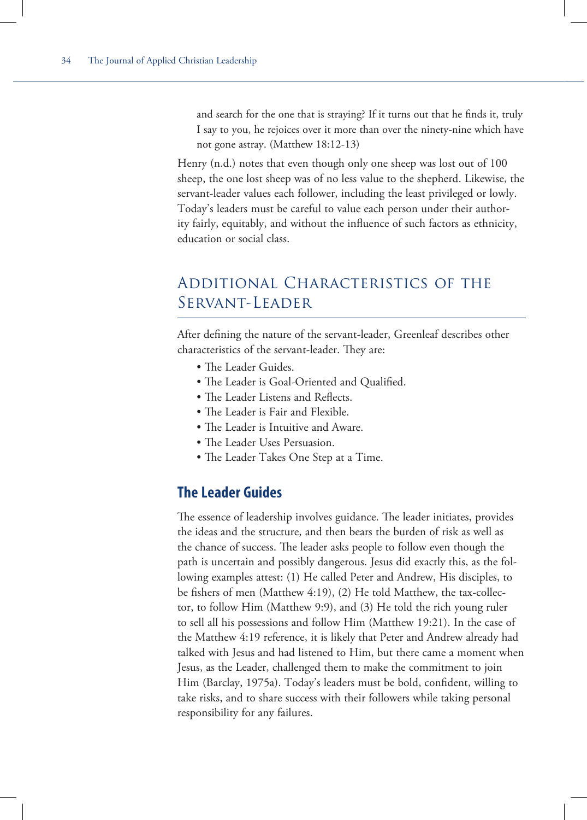and search for the one that is straying? If it turns out that he finds it, truly I say to you, he rejoices over it more than over the ninety-nine which have not gone astray. (Matthew 18:12-13)

Henry (n.d.) notes that even though only one sheep was lost out of 100 sheep, the one lost sheep was of no less value to the shepherd. Likewise, the servant-leader values each follower, including the least privileged or lowly. Today's leaders must be careful to value each person under their authority fairly, equitably, and without the influence of such factors as ethnicity, education or social class.

# Additional Characteristics of the Servant-Leader

After defining the nature of the servant-leader, Greenleaf describes other characteristics of the servant-leader. They are:

- The Leader Guides.
- The Leader is Goal-Oriented and Qualified.
- The Leader Listens and Reflects.
- The Leader is Fair and Flexible.
- The Leader is Intuitive and Aware.
- The Leader Uses Persuasion.
- The Leader Takes One Step at a Time.

# **The Leader Guides**

The essence of leadership involves guidance. The leader initiates, provides the ideas and the structure, and then bears the burden of risk as well as the chance of success. The leader asks people to follow even though the path is uncertain and possibly dangerous. Jesus did exactly this, as the following examples attest: (1) He called Peter and Andrew, His disciples, to be fishers of men (Matthew 4:19), (2) He told Matthew, the tax-collector, to follow Him (Matthew 9:9), and (3) He told the rich young ruler to sell all his possessions and follow Him (Matthew 19:21). In the case of the Matthew 4:19 reference, it is likely that Peter and Andrew already had talked with Jesus and had listened to Him, but there came a moment when Jesus, as the Leader, challenged them to make the commitment to join Him (Barclay, 1975a). Today's leaders must be bold, confident, willing to take risks, and to share success with their followers while taking personal responsibility for any failures.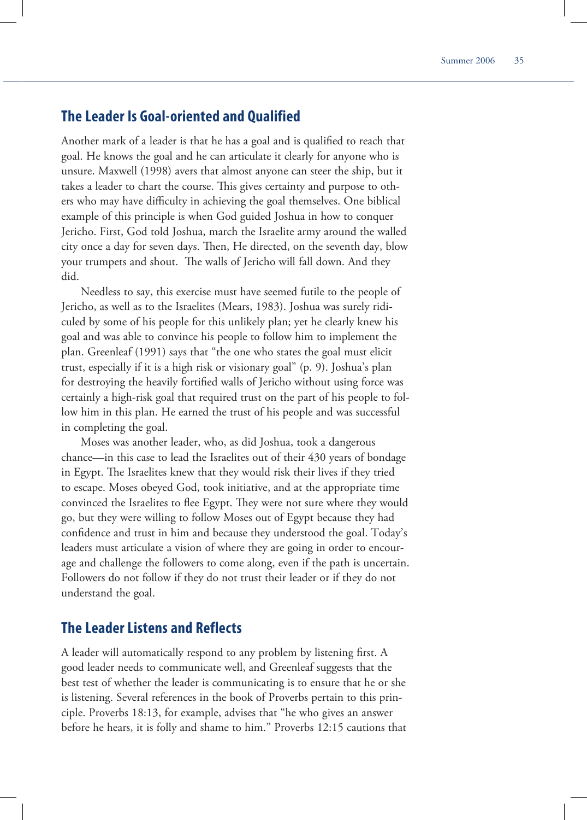# **The Leader Is Goal-oriented and Qualified**

Another mark of a leader is that he has a goal and is qualified to reach that goal. He knows the goal and he can articulate it clearly for anyone who is unsure. Maxwell (1998) avers that almost anyone can steer the ship, but it takes a leader to chart the course. This gives certainty and purpose to others who may have difficulty in achieving the goal themselves. One biblical example of this principle is when God guided Joshua in how to conquer Jericho. First, God told Joshua, march the Israelite army around the walled city once a day for seven days. Then, He directed, on the seventh day, blow your trumpets and shout. The walls of Jericho will fall down. And they did.

Needless to say, this exercise must have seemed futile to the people of Jericho, as well as to the Israelites (Mears, 1983). Joshua was surely ridiculed by some of his people for this unlikely plan; yet he clearly knew his goal and was able to convince his people to follow him to implement the plan. Greenleaf (1991) says that "the one who states the goal must elicit trust, especially if it is a high risk or visionary goal" (p. 9). Joshua's plan for destroying the heavily fortified walls of Jericho without using force was certainly a high-risk goal that required trust on the part of his people to follow him in this plan. He earned the trust of his people and was successful in completing the goal.

Moses was another leader, who, as did Joshua, took a dangerous chance—in this case to lead the Israelites out of their 430 years of bondage in Egypt. The Israelites knew that they would risk their lives if they tried to escape. Moses obeyed God, took initiative, and at the appropriate time convinced the Israelites to flee Egypt. They were not sure where they would go, but they were willing to follow Moses out of Egypt because they had confidence and trust in him and because they understood the goal. Today's leaders must articulate a vision of where they are going in order to encourage and challenge the followers to come along, even if the path is uncertain. Followers do not follow if they do not trust their leader or if they do not understand the goal.

# **The Leader Listens and Reflects**

A leader will automatically respond to any problem by listening first. A good leader needs to communicate well, and Greenleaf suggests that the best test of whether the leader is communicating is to ensure that he or she is listening. Several references in the book of Proverbs pertain to this principle. Proverbs 18:13, for example, advises that "he who gives an answer before he hears, it is folly and shame to him." Proverbs 12:15 cautions that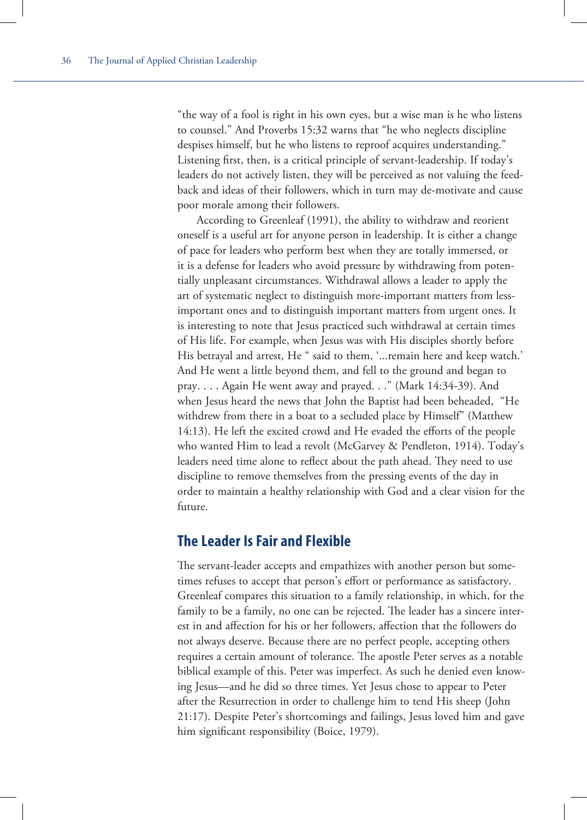"the way of a fool is right in his own eyes, but a wise man is he who listens to counsel." And Proverbs 15:32 warns that "he who neglects discipline despises himself, but he who listens to reproof acquires understanding." Listening first, then, is a critical principle of servant-leadership. If today's leaders do not actively listen, they will be perceived as not valuing the feedback and ideas of their followers, which in turn may de-motivate and cause poor morale among their followers.

According to Greenleaf (1991), the ability to withdraw and reorient oneself is a useful art for anyone person in leadership. It is either a change of pace for leaders who perform best when they are totally immersed, or it is a defense for leaders who avoid pressure by withdrawing from potentially unpleasant circumstances. Withdrawal allows a leader to apply the art of systematic neglect to distinguish more-important matters from lessimportant ones and to distinguish important matters from urgent ones. It is interesting to note that Jesus practiced such withdrawal at certain times of His life. For example, when Jesus was with His disciples shortly before His betrayal and arrest, He " said to them, '...remain here and keep watch.' And He went a little beyond them, and fell to the ground and began to pray. . . . Again He went away and prayed. . ." (Mark 14:34-39). And when Jesus heard the news that John the Baptist had been beheaded, "He withdrew from there in a boat to a secluded place by Himself" (Matthew 14:13). He left the excited crowd and He evaded the efforts of the people who wanted Him to lead a revolt (McGarvey & Pendleton, 1914). Today's leaders need time alone to reflect about the path ahead. They need to use discipline to remove themselves from the pressing events of the day in order to maintain a healthy relationship with God and a clear vision for the future.

# **The Leader Is Fair and Flexible**

The servant-leader accepts and empathizes with another person but sometimes refuses to accept that person's effort or performance as satisfactory. Greenleaf compares this situation to a family relationship, in which, for the family to be a family, no one can be rejected. The leader has a sincere interest in and affection for his or her followers, affection that the followers do not always deserve. Because there are no perfect people, accepting others requires a certain amount of tolerance. The apostle Peter serves as a notable biblical example of this. Peter was imperfect. As such he denied even knowing Jesus—and he did so three times. Yet Jesus chose to appear to Peter after the Resurrection in order to challenge him to tend His sheep (John 21:17). Despite Peter's shortcomings and failings, Jesus loved him and gave him significant responsibility (Boice, 1979).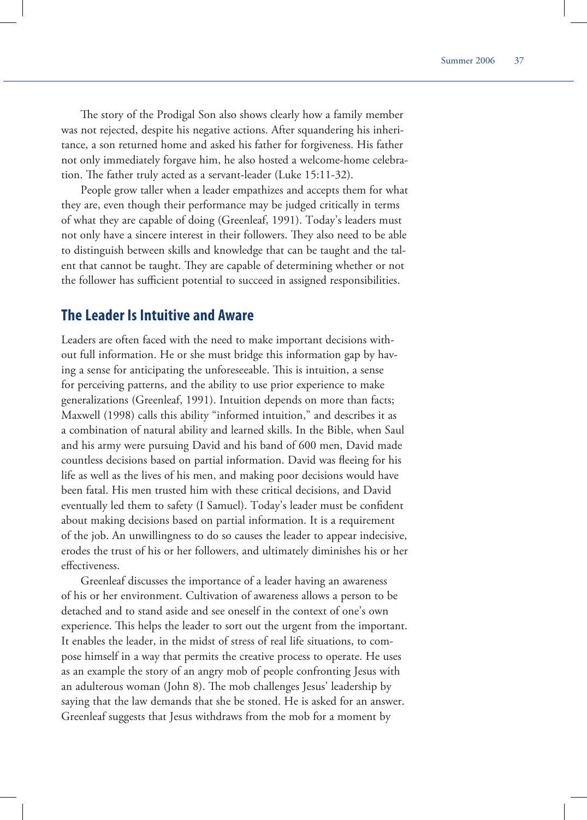The story of the Prodigal Son also shows clearly how a family member was not rejected, despite his negative actions. After squandering his inheritance, a son returned home and asked his father for forgiveness. His father not only immediately forgave him, he also hosted a welcome-home celebration. The father truly acted as a servant-leader (Luke 15:11-32).

People grow taller when a leader empathizes and accepts them for what they are, even though their performance may be judged critically in terms of what they are capable of doing (Greenleaf, 1991). Today's leaders must not only have a sincere interest in their followers. They also need to be able to distinguish between skills and knowledge that can be taught and the talent that cannot be taught. They are capable of determining whether or not the follower has sufficient potential to succeed in assigned responsibilities.

#### **The Leader Is Intuitive and Aware**

Leaders are often faced with the need to make important decisions without full information. He or she must bridge this information gap by having a sense for anticipating the unforeseeable. This is intuition, a sense for perceiving patterns, and the ability to use prior experience to make generalizations (Greenleaf, 1991). Intuition depends on more than facts; Maxwell (1998) calls this ability "informed intuition," and describes it as a combination of natural ability and learned skills. In the Bible, when Saul and his army were pursuing David and his band of 600 men, David made countless decisions based on partial information. David was fleeing for his life as well as the lives of his men, and making poor decisions would have been fatal. His men trusted him with these critical decisions, and David eventually led them to safety (I Samuel). Today's leader must be confident about making decisions based on partial information. It is a requirement of the job. An unwillingness to do so causes the leader to appear indecisive, erodes the trust of his or her followers, and ultimately diminishes his or her effectiveness

Greenleaf discusses the importance of a leader having an awareness of his or her environment. Cultivation of awareness allows a person to be detached and to stand aside and see oneself in the context of one's own experience. This helps the leader to sort out the urgent from the important. It enables the leader, in the midst of stress of real life situations, to compose himself in a way that permits the creative process to operate. He uses as an example the story of an angry mob of people confronting Jesus with an adulterous woman (John 8). The mob challenges Jesus' leadership by saying that the law demands that she be stoned. He is asked for an answer. Greenleaf suggests that Jesus withdraws from the mob for a moment by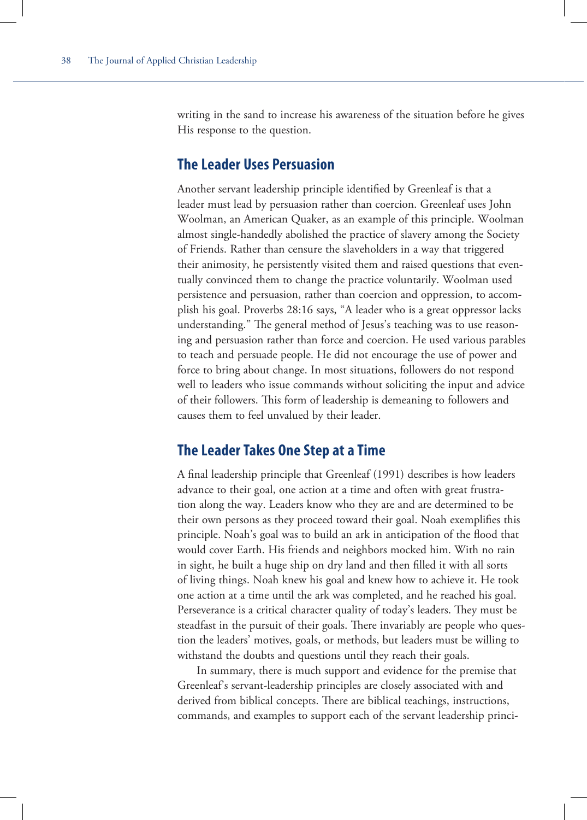writing in the sand to increase his awareness of the situation before he gives His response to the question.

## **The Leader Uses Persuasion**

Another servant leadership principle identified by Greenleaf is that a leader must lead by persuasion rather than coercion. Greenleaf uses John Woolman, an American Quaker, as an example of this principle. Woolman almost single-handedly abolished the practice of slavery among the Society of Friends. Rather than censure the slaveholders in a way that triggered their animosity, he persistently visited them and raised questions that eventually convinced them to change the practice voluntarily. Woolman used persistence and persuasion, rather than coercion and oppression, to accomplish his goal. Proverbs 28:16 says, "A leader who is a great oppressor lacks understanding." The general method of Jesus's teaching was to use reasoning and persuasion rather than force and coercion. He used various parables to teach and persuade people. He did not encourage the use of power and force to bring about change. In most situations, followers do not respond well to leaders who issue commands without soliciting the input and advice of their followers. This form of leadership is demeaning to followers and causes them to feel unvalued by their leader.

## **The Leader Takes One Step at a Time**

A final leadership principle that Greenleaf (1991) describes is how leaders advance to their goal, one action at a time and often with great frustration along the way. Leaders know who they are and are determined to be their own persons as they proceed toward their goal. Noah exemplifies this principle. Noah's goal was to build an ark in anticipation of the flood that would cover Earth. His friends and neighbors mocked him. With no rain in sight, he built a huge ship on dry land and then filled it with all sorts of living things. Noah knew his goal and knew how to achieve it. He took one action at a time until the ark was completed, and he reached his goal. Perseverance is a critical character quality of today's leaders. They must be steadfast in the pursuit of their goals. There invariably are people who question the leaders' motives, goals, or methods, but leaders must be willing to withstand the doubts and questions until they reach their goals.

In summary, there is much support and evidence for the premise that Greenleaf's servant-leadership principles are closely associated with and derived from biblical concepts. There are biblical teachings, instructions, commands, and examples to support each of the servant leadership princi